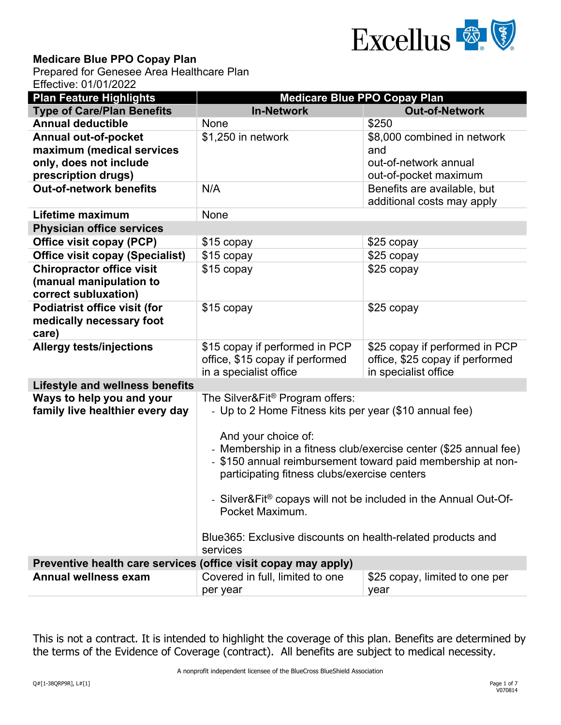

## **Medicare Blue PPO Copay Plan**

Prepared for Genesee Area Healthcare Plan Effective: 01/01/2022

| <b>Plan Feature Highlights</b>                                                      | <b>Medicare Blue PPO Copay Plan</b>                                                                                                                                                                                                                                                                                                                                                                                                                                  |                                                                                           |  |  |
|-------------------------------------------------------------------------------------|----------------------------------------------------------------------------------------------------------------------------------------------------------------------------------------------------------------------------------------------------------------------------------------------------------------------------------------------------------------------------------------------------------------------------------------------------------------------|-------------------------------------------------------------------------------------------|--|--|
| <b>Type of Care/Plan Benefits</b>                                                   | <b>In-Network</b>                                                                                                                                                                                                                                                                                                                                                                                                                                                    | <b>Out-of-Network</b>                                                                     |  |  |
| <b>Annual deductible</b>                                                            | None                                                                                                                                                                                                                                                                                                                                                                                                                                                                 | \$250                                                                                     |  |  |
| <b>Annual out-of-pocket</b>                                                         | \$1,250 in network                                                                                                                                                                                                                                                                                                                                                                                                                                                   | \$8,000 combined in network                                                               |  |  |
| maximum (medical services                                                           |                                                                                                                                                                                                                                                                                                                                                                                                                                                                      | and                                                                                       |  |  |
| only, does not include                                                              |                                                                                                                                                                                                                                                                                                                                                                                                                                                                      | out-of-network annual                                                                     |  |  |
| prescription drugs)                                                                 |                                                                                                                                                                                                                                                                                                                                                                                                                                                                      | out-of-pocket maximum                                                                     |  |  |
| <b>Out-of-network benefits</b>                                                      | N/A                                                                                                                                                                                                                                                                                                                                                                                                                                                                  | Benefits are available, but<br>additional costs may apply                                 |  |  |
| Lifetime maximum                                                                    | None                                                                                                                                                                                                                                                                                                                                                                                                                                                                 |                                                                                           |  |  |
| <b>Physician office services</b>                                                    |                                                                                                                                                                                                                                                                                                                                                                                                                                                                      |                                                                                           |  |  |
| Office visit copay (PCP)                                                            | \$15 copay                                                                                                                                                                                                                                                                                                                                                                                                                                                           | \$25 copay                                                                                |  |  |
| <b>Office visit copay (Specialist)</b>                                              | \$15 copay                                                                                                                                                                                                                                                                                                                                                                                                                                                           | \$25 copay                                                                                |  |  |
| <b>Chiropractor office visit</b><br>(manual manipulation to<br>correct subluxation) | \$15 copay                                                                                                                                                                                                                                                                                                                                                                                                                                                           | \$25 copay                                                                                |  |  |
| <b>Podiatrist office visit (for</b><br>medically necessary foot<br>care)            | \$15 copay                                                                                                                                                                                                                                                                                                                                                                                                                                                           | \$25 copay                                                                                |  |  |
| <b>Allergy tests/injections</b>                                                     | \$15 copay if performed in PCP<br>office, \$15 copay if performed<br>in a specialist office                                                                                                                                                                                                                                                                                                                                                                          | \$25 copay if performed in PCP<br>office, \$25 copay if performed<br>in specialist office |  |  |
| <b>Lifestyle and wellness benefits</b>                                              |                                                                                                                                                                                                                                                                                                                                                                                                                                                                      |                                                                                           |  |  |
| Ways to help you and your<br>family live healthier every day                        | The Silver&Fit® Program offers:<br>- Up to 2 Home Fitness kits per year (\$10 annual fee)<br>And your choice of:<br>- Membership in a fitness club/exercise center (\$25 annual fee)<br>- \$150 annual reimbursement toward paid membership at non-<br>participating fitness clubs/exercise centers<br>- Silver&Fit® copays will not be included in the Annual Out-Of-<br>Pocket Maximum.<br>Blue365: Exclusive discounts on health-related products and<br>services |                                                                                           |  |  |
| Preventive health care services (office visit copay may apply)                      |                                                                                                                                                                                                                                                                                                                                                                                                                                                                      |                                                                                           |  |  |
| <b>Annual wellness exam</b>                                                         | Covered in full, limited to one                                                                                                                                                                                                                                                                                                                                                                                                                                      | \$25 copay, limited to one per                                                            |  |  |
|                                                                                     | per year                                                                                                                                                                                                                                                                                                                                                                                                                                                             | year                                                                                      |  |  |

 This is not a contract. It is intended to highlight the coverage of this plan. Benefits are determined by the terms of the Evidence of Coverage (contract). All benefits are subject to medical necessity.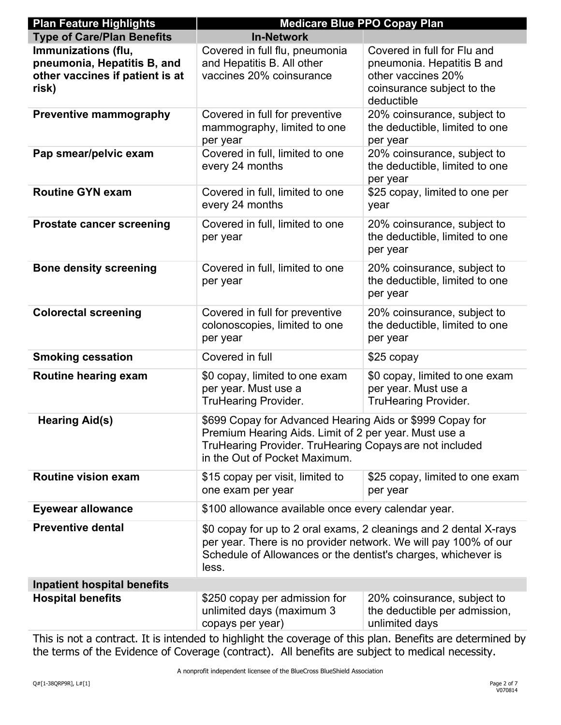| <b>Plan Feature Highlights</b>                                                                 | <b>Medicare Blue PPO Copay Plan</b>                                                                                                                                                                            |                                                                                                                             |  |
|------------------------------------------------------------------------------------------------|----------------------------------------------------------------------------------------------------------------------------------------------------------------------------------------------------------------|-----------------------------------------------------------------------------------------------------------------------------|--|
| <b>Type of Care/Plan Benefits</b>                                                              | <b>In-Network</b>                                                                                                                                                                                              |                                                                                                                             |  |
| Immunizations (flu,<br>pneumonia, Hepatitis B, and<br>other vaccines if patient is at<br>risk) | Covered in full flu, pneumonia<br>and Hepatitis B. All other<br>vaccines 20% coinsurance                                                                                                                       | Covered in full for Flu and<br>pneumonia. Hepatitis B and<br>other vaccines 20%<br>coinsurance subject to the<br>deductible |  |
| <b>Preventive mammography</b>                                                                  | Covered in full for preventive<br>mammography, limited to one<br>per year                                                                                                                                      | 20% coinsurance, subject to<br>the deductible, limited to one<br>per year                                                   |  |
| Pap smear/pelvic exam                                                                          | Covered in full, limited to one<br>every 24 months                                                                                                                                                             | 20% coinsurance, subject to<br>the deductible, limited to one<br>per year                                                   |  |
| <b>Routine GYN exam</b>                                                                        | Covered in full, limited to one<br>every 24 months                                                                                                                                                             | \$25 copay, limited to one per<br>year                                                                                      |  |
| <b>Prostate cancer screening</b>                                                               | Covered in full, limited to one<br>per year                                                                                                                                                                    | 20% coinsurance, subject to<br>the deductible, limited to one<br>per year                                                   |  |
| <b>Bone density screening</b>                                                                  | Covered in full, limited to one<br>per year                                                                                                                                                                    | 20% coinsurance, subject to<br>the deductible, limited to one<br>per year                                                   |  |
| <b>Colorectal screening</b>                                                                    | Covered in full for preventive<br>colonoscopies, limited to one<br>per year                                                                                                                                    | 20% coinsurance, subject to<br>the deductible, limited to one<br>per year                                                   |  |
| <b>Smoking cessation</b>                                                                       | Covered in full                                                                                                                                                                                                | \$25 copay                                                                                                                  |  |
| Routine hearing exam                                                                           | \$0 copay, limited to one exam<br>per year. Must use a<br><b>TruHearing Provider.</b>                                                                                                                          | \$0 copay, limited to one exam<br>per year. Must use a<br><b>TruHearing Provider.</b>                                       |  |
| <b>Hearing Aid(s)</b>                                                                          | \$699 Copay for Advanced Hearing Aids or \$999 Copay for<br>Premium Hearing Aids. Limit of 2 per year. Must use a<br>TruHearing Provider. TruHearing Copays are not included<br>in the Out of Pocket Maximum.  |                                                                                                                             |  |
| <b>Routine vision exam</b>                                                                     | \$15 copay per visit, limited to<br>one exam per year                                                                                                                                                          | \$25 copay, limited to one exam<br>per year                                                                                 |  |
| <b>Eyewear allowance</b>                                                                       | \$100 allowance available once every calendar year.                                                                                                                                                            |                                                                                                                             |  |
| <b>Preventive dental</b>                                                                       | \$0 copay for up to 2 oral exams, 2 cleanings and 2 dental X-rays<br>per year. There is no provider network. We will pay 100% of our<br>Schedule of Allowances or the dentist's charges, whichever is<br>less. |                                                                                                                             |  |
| <b>Inpatient hospital benefits</b>                                                             |                                                                                                                                                                                                                |                                                                                                                             |  |
| <b>Hospital benefits</b>                                                                       | \$250 copay per admission for<br>unlimited days (maximum 3<br>copays per year)                                                                                                                                 | 20% coinsurance, subject to<br>the deductible per admission,<br>unlimited days                                              |  |

This is not a contract. It is intended to highlight the coverage of this plan. Benefits are determined by the terms of the Evidence of Coverage (contract). All benefits are subject to medical necessity.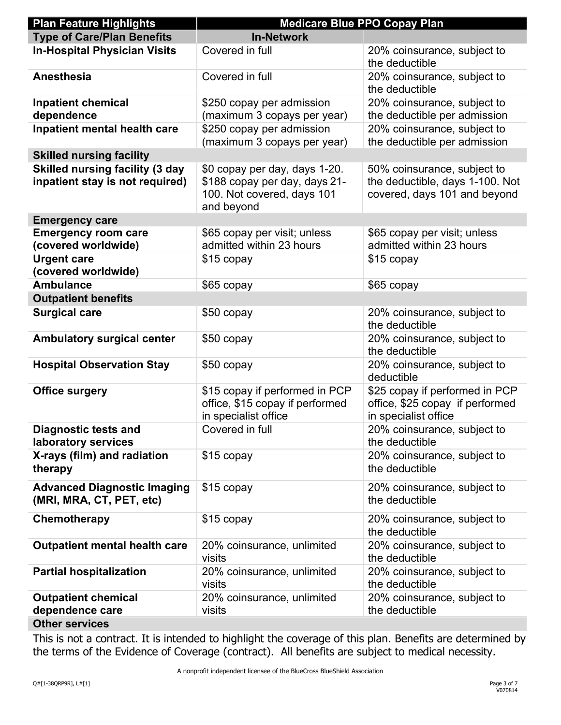| <b>Plan Feature Highlights</b>                                            | <b>Medicare Blue PPO Copay Plan</b>                                                                        |                                                                                                |  |
|---------------------------------------------------------------------------|------------------------------------------------------------------------------------------------------------|------------------------------------------------------------------------------------------------|--|
| <b>Type of Care/Plan Benefits</b>                                         | <b>In-Network</b>                                                                                          |                                                                                                |  |
| <b>In-Hospital Physician Visits</b>                                       | Covered in full                                                                                            | 20% coinsurance, subject to<br>the deductible                                                  |  |
| <b>Anesthesia</b>                                                         | Covered in full                                                                                            | 20% coinsurance, subject to<br>the deductible                                                  |  |
| <b>Inpatient chemical</b>                                                 | \$250 copay per admission                                                                                  | 20% coinsurance, subject to                                                                    |  |
| dependence                                                                | (maximum 3 copays per year)                                                                                | the deductible per admission                                                                   |  |
| Inpatient mental health care                                              | \$250 copay per admission<br>(maximum 3 copays per year)                                                   | 20% coinsurance, subject to<br>the deductible per admission                                    |  |
| <b>Skilled nursing facility</b>                                           |                                                                                                            |                                                                                                |  |
| <b>Skilled nursing facility (3 day</b><br>inpatient stay is not required) | \$0 copay per day, days 1-20.<br>\$188 copay per day, days 21-<br>100. Not covered, days 101<br>and beyond | 50% coinsurance, subject to<br>the deductible, days 1-100. Not<br>covered, days 101 and beyond |  |
| <b>Emergency care</b>                                                     |                                                                                                            |                                                                                                |  |
| <b>Emergency room care</b><br>(covered worldwide)                         | \$65 copay per visit; unless<br>admitted within 23 hours                                                   | \$65 copay per visit; unless<br>admitted within 23 hours                                       |  |
| <b>Urgent care</b><br>(covered worldwide)                                 | \$15 copay                                                                                                 | \$15 copay                                                                                     |  |
| <b>Ambulance</b>                                                          | \$65 copay                                                                                                 | \$65 copay                                                                                     |  |
| <b>Outpatient benefits</b>                                                |                                                                                                            |                                                                                                |  |
| <b>Surgical care</b>                                                      | \$50 copay                                                                                                 | 20% coinsurance, subject to<br>the deductible                                                  |  |
| <b>Ambulatory surgical center</b>                                         | \$50 copay                                                                                                 | 20% coinsurance, subject to<br>the deductible                                                  |  |
| <b>Hospital Observation Stay</b>                                          | \$50 copay                                                                                                 | 20% coinsurance, subject to<br>deductible                                                      |  |
| <b>Office surgery</b>                                                     | \$15 copay if performed in PCP<br>office, \$15 copay if performed<br>in specialist office                  | \$25 copay if performed in PCP<br>office, \$25 copay if performed<br>in specialist office      |  |
| <b>Diagnostic tests and</b><br>laboratory services                        | Covered in full                                                                                            | 20% coinsurance, subject to<br>the deductible                                                  |  |
| X-rays (film) and radiation<br>therapy                                    | \$15 copay                                                                                                 | 20% coinsurance, subject to<br>the deductible                                                  |  |
| <b>Advanced Diagnostic Imaging</b><br>(MRI, MRA, CT, PET, etc)            | \$15 copay                                                                                                 | 20% coinsurance, subject to<br>the deductible                                                  |  |
| Chemotherapy                                                              | \$15 copay                                                                                                 | 20% coinsurance, subject to<br>the deductible                                                  |  |
| <b>Outpatient mental health care</b>                                      | 20% coinsurance, unlimited<br>visits                                                                       | 20% coinsurance, subject to<br>the deductible                                                  |  |
| <b>Partial hospitalization</b>                                            | 20% coinsurance, unlimited<br>visits                                                                       | 20% coinsurance, subject to<br>the deductible                                                  |  |
| <b>Outpatient chemical</b>                                                | 20% coinsurance, unlimited                                                                                 | 20% coinsurance, subject to                                                                    |  |
| dependence care                                                           | visits                                                                                                     | the deductible                                                                                 |  |
| <b>Other services</b>                                                     |                                                                                                            |                                                                                                |  |

## This is not a contract. It is intended to highlight the coverage of this plan. Benefits are determined by the terms of the Evidence of Coverage (contract). All benefits are subject to medical necessity.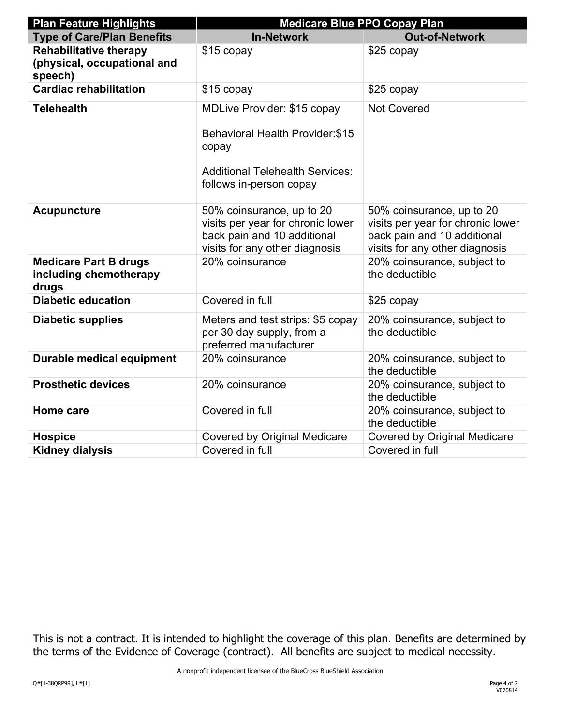| <b>Plan Feature Highlights</b>                                          | <b>Medicare Blue PPO Copay Plan</b>                                                                                                                         |                                                                                                                                 |  |
|-------------------------------------------------------------------------|-------------------------------------------------------------------------------------------------------------------------------------------------------------|---------------------------------------------------------------------------------------------------------------------------------|--|
| <b>Type of Care/Plan Benefits</b>                                       | <b>In-Network</b>                                                                                                                                           | <b>Out-of-Network</b>                                                                                                           |  |
| <b>Rehabilitative therapy</b><br>(physical, occupational and<br>speech) | \$15 copay                                                                                                                                                  | \$25 copay                                                                                                                      |  |
| <b>Cardiac rehabilitation</b>                                           | \$15 copay                                                                                                                                                  | \$25 copay                                                                                                                      |  |
| <b>Telehealth</b>                                                       | <b>MDLive Provider: \$15 copay</b><br><b>Behavioral Health Provider: \$15</b><br>copay<br><b>Additional Telehealth Services:</b><br>follows in-person copay | <b>Not Covered</b>                                                                                                              |  |
| <b>Acupuncture</b>                                                      | 50% coinsurance, up to 20<br>visits per year for chronic lower<br>back pain and 10 additional<br>visits for any other diagnosis                             | 50% coinsurance, up to 20<br>visits per year for chronic lower<br>back pain and 10 additional<br>visits for any other diagnosis |  |
| <b>Medicare Part B drugs</b><br>including chemotherapy<br>drugs         | 20% coinsurance                                                                                                                                             | 20% coinsurance, subject to<br>the deductible                                                                                   |  |
| <b>Diabetic education</b>                                               | Covered in full                                                                                                                                             | \$25 copay                                                                                                                      |  |
| <b>Diabetic supplies</b>                                                | Meters and test strips: \$5 copay<br>per 30 day supply, from a<br>preferred manufacturer                                                                    | 20% coinsurance, subject to<br>the deductible                                                                                   |  |
| <b>Durable medical equipment</b>                                        | 20% coinsurance                                                                                                                                             | 20% coinsurance, subject to<br>the deductible                                                                                   |  |
| <b>Prosthetic devices</b>                                               | 20% coinsurance                                                                                                                                             | 20% coinsurance, subject to<br>the deductible                                                                                   |  |
| Home care                                                               | Covered in full                                                                                                                                             | 20% coinsurance, subject to<br>the deductible                                                                                   |  |
| <b>Hospice</b>                                                          | <b>Covered by Original Medicare</b>                                                                                                                         | <b>Covered by Original Medicare</b>                                                                                             |  |
| <b>Kidney dialysis</b>                                                  | Covered in full                                                                                                                                             | Covered in full                                                                                                                 |  |

 This is not a contract. It is intended to highlight the coverage of this plan. Benefits are determined by the terms of the Evidence of Coverage (contract). All benefits are subject to medical necessity.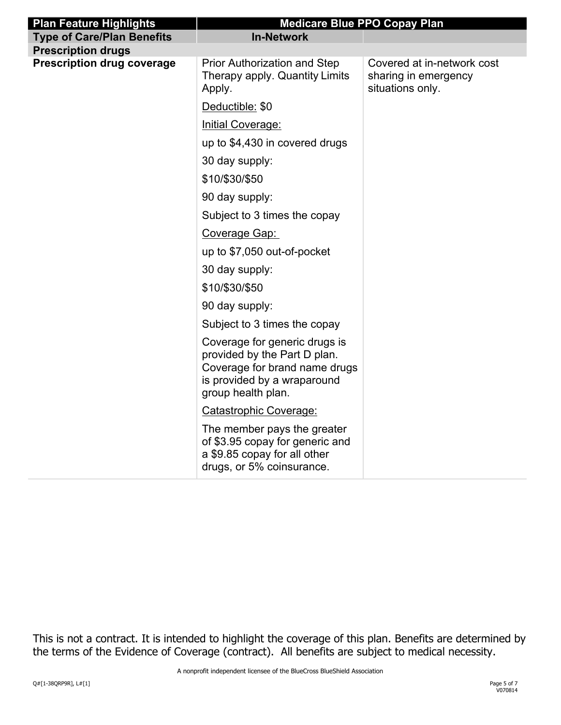| <b>Plan Feature Highlights</b>    | <b>Medicare Blue PPO Copay Plan</b>                                                                                                                 |                                                                        |  |
|-----------------------------------|-----------------------------------------------------------------------------------------------------------------------------------------------------|------------------------------------------------------------------------|--|
| <b>Type of Care/Plan Benefits</b> | <b>In-Network</b>                                                                                                                                   |                                                                        |  |
| <b>Prescription drugs</b>         |                                                                                                                                                     |                                                                        |  |
| <b>Prescription drug coverage</b> | <b>Prior Authorization and Step</b><br>Therapy apply. Quantity Limits<br>Apply.                                                                     | Covered at in-network cost<br>sharing in emergency<br>situations only. |  |
|                                   | Deductible: \$0                                                                                                                                     |                                                                        |  |
|                                   | Initial Coverage:                                                                                                                                   |                                                                        |  |
|                                   | up to \$4,430 in covered drugs                                                                                                                      |                                                                        |  |
|                                   | 30 day supply:                                                                                                                                      |                                                                        |  |
|                                   | \$10/\$30/\$50                                                                                                                                      |                                                                        |  |
|                                   | 90 day supply:                                                                                                                                      |                                                                        |  |
|                                   | Subject to 3 times the copay                                                                                                                        |                                                                        |  |
|                                   | Coverage Gap:                                                                                                                                       |                                                                        |  |
|                                   | up to \$7,050 out-of-pocket                                                                                                                         |                                                                        |  |
|                                   | 30 day supply:                                                                                                                                      |                                                                        |  |
|                                   | \$10/\$30/\$50                                                                                                                                      |                                                                        |  |
|                                   | 90 day supply:                                                                                                                                      |                                                                        |  |
|                                   | Subject to 3 times the copay                                                                                                                        |                                                                        |  |
|                                   | Coverage for generic drugs is<br>provided by the Part D plan.<br>Coverage for brand name drugs<br>is provided by a wraparound<br>group health plan. |                                                                        |  |
|                                   | Catastrophic Coverage:                                                                                                                              |                                                                        |  |
|                                   | The member pays the greater<br>of \$3.95 copay for generic and<br>a \$9.85 copay for all other<br>drugs, or 5% coinsurance.                         |                                                                        |  |

 This is not a contract. It is intended to highlight the coverage of this plan. Benefits are determined by the terms of the Evidence of Coverage (contract). All benefits are subject to medical necessity.